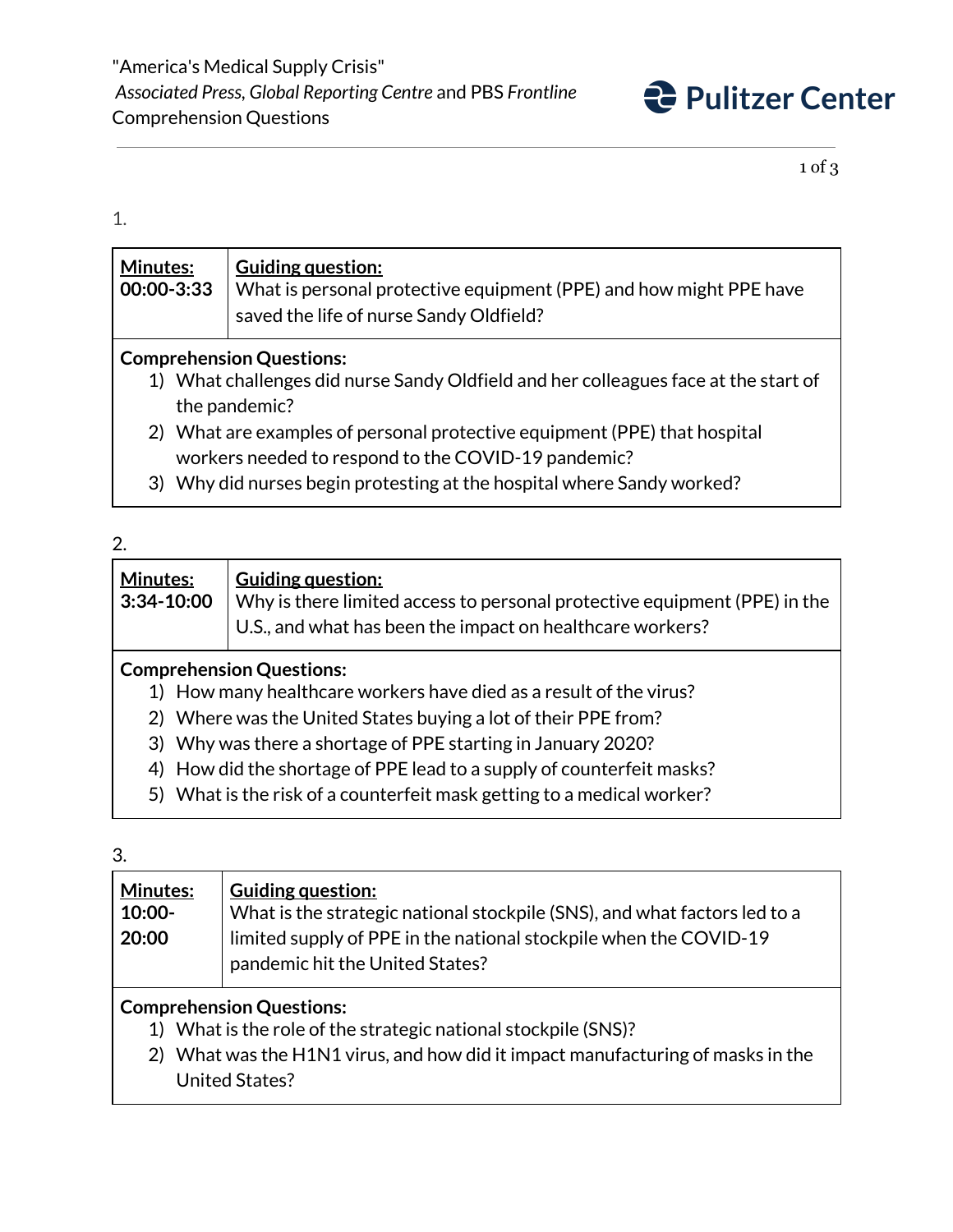

1 of 3

## 1.

| <b>Minutes:</b><br>00:00-3:33                                                                                                              | <b>Guiding question:</b><br>What is personal protective equipment (PPE) and how might PPE have<br>saved the life of nurse Sandy Oldfield? |  |
|--------------------------------------------------------------------------------------------------------------------------------------------|-------------------------------------------------------------------------------------------------------------------------------------------|--|
| <b>Comprehension Questions:</b><br>What challenges did nurse Sandy Oldfield and her colleagues face at the start of<br>1)<br>the pandemic? |                                                                                                                                           |  |
|                                                                                                                                            | 2) What are examples of personal protective equipment (PPE) that hospital                                                                 |  |
|                                                                                                                                            | workers needed to respond to the COVID-19 pandemic?<br>0) Mile u did wuxuu kaajin waataatiina at tha kaanital whana Candu wandaal 9       |  |

3) Why did nurses begin protesting at the hospital where Sandy worked?

## 2.

| <b>Minutes:</b><br>$ 3:34-10:00 $ | $\mid$ Guiding question:<br>Why is there limited access to personal protective equipment (PPE) in the<br>U.S., and what has been the impact on healthcare workers? |
|-----------------------------------|--------------------------------------------------------------------------------------------------------------------------------------------------------------------|
|-----------------------------------|--------------------------------------------------------------------------------------------------------------------------------------------------------------------|

## **Comprehension Questions:**

- 1) How many healthcare workers have died as a result of the virus?
- 2) Where was the United States buying a lot of their PPE from?
- 3) Why was there a shortage of PPE starting in January 2020?
- 4) How did the shortage of PPE lead to a supply of counterfeit masks?
- 5) What is the risk of a counterfeit mask getting to a medical worker?

#### 3.

| <b>Minutes:</b><br>$10:00 -$<br>20:00 | Guiding question:<br>What is the strategic national stockpile (SNS), and what factors led to a<br>limited supply of PPE in the national stockpile when the COVID-19<br>pandemic hit the United States? |  |
|---------------------------------------|--------------------------------------------------------------------------------------------------------------------------------------------------------------------------------------------------------|--|
| Comprehension Questions:              |                                                                                                                                                                                                        |  |

# **Comprehension Questions:**

- 1) What is the role of the strategic national stockpile (SNS)?
- 2) What was the H1N1 virus, and how did it impact manufacturing of masks in the United States?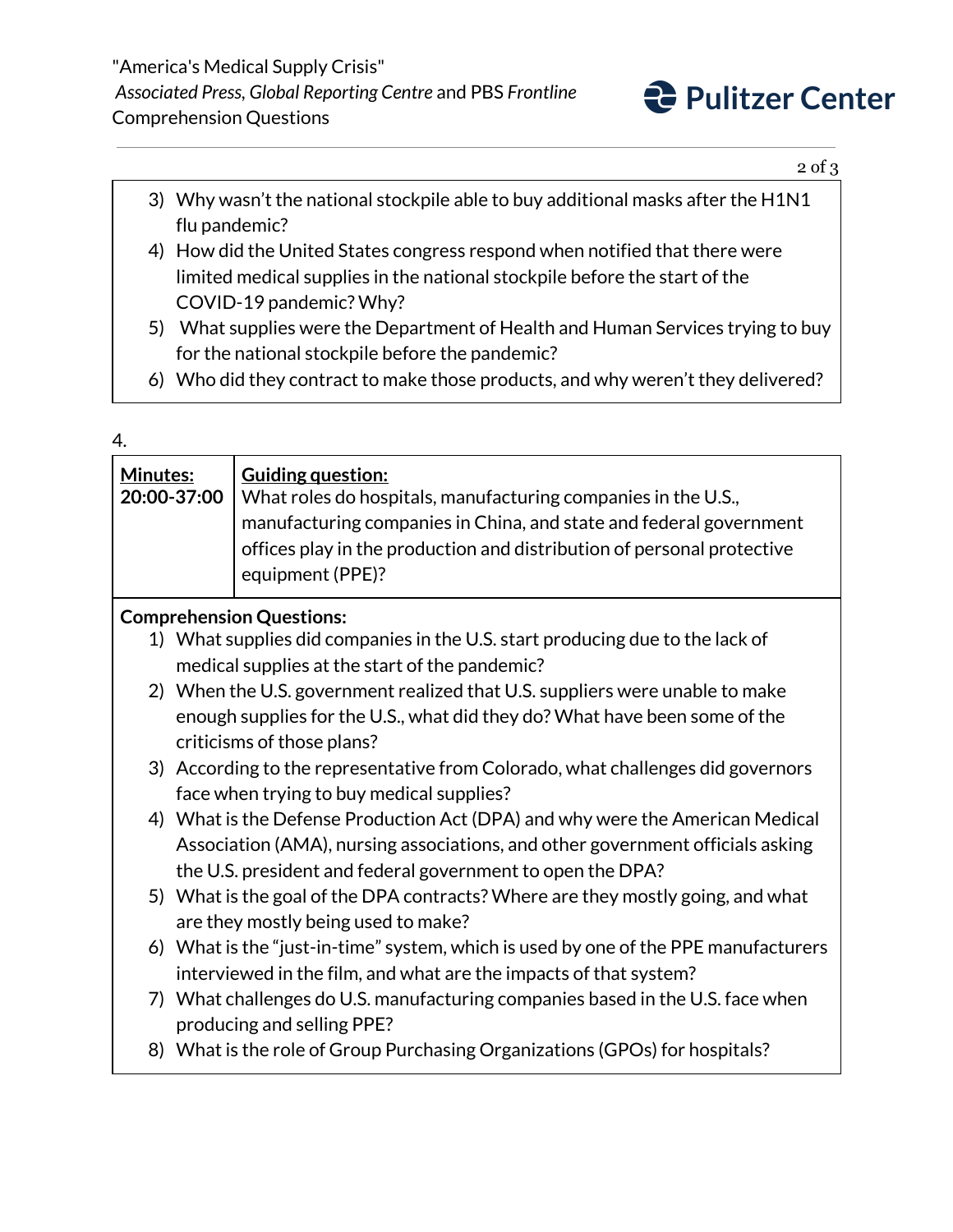

2 of 3

- 3) Why wasn't the national stockpile able to buy additional masks after the H1N1 flu pandemic?
- 4) How did the United States congress respond when notified that there were limited medical supplies in the national stockpile before the start of the COVID-19 pandemic? Why?
- 5) What supplies were the Department of Health and Human Services trying to buy for the national stockpile before the pandemic?
- 6) Who did they contract to make those products, and why weren't they delivered?

## 4.

| Minutes:                        | 20:00-37:00 | <b>Guiding question:</b><br>What roles do hospitals, manufacturing companies in the U.S.,<br>manufacturing companies in China, and state and federal government<br>offices play in the production and distribution of personal protective<br>equipment (PPE)? |  |  |
|---------------------------------|-------------|---------------------------------------------------------------------------------------------------------------------------------------------------------------------------------------------------------------------------------------------------------------|--|--|
| <b>Comprehension Questions:</b> |             |                                                                                                                                                                                                                                                               |  |  |
|                                 |             | 1) What supplies did companies in the U.S. start producing due to the lack of                                                                                                                                                                                 |  |  |
|                                 |             | medical supplies at the start of the pandemic?                                                                                                                                                                                                                |  |  |
|                                 |             | 2) When the U.S. government realized that U.S. suppliers were unable to make                                                                                                                                                                                  |  |  |
|                                 |             | enough supplies for the U.S., what did they do? What have been some of the                                                                                                                                                                                    |  |  |
|                                 |             | criticisms of those plans?                                                                                                                                                                                                                                    |  |  |
|                                 |             | 3) According to the representative from Colorado, what challenges did governors                                                                                                                                                                               |  |  |
|                                 |             | face when trying to buy medical supplies?                                                                                                                                                                                                                     |  |  |
|                                 |             | 4) What is the Defense Production Act (DPA) and why were the American Medical                                                                                                                                                                                 |  |  |
|                                 |             | Association (AMA), nursing associations, and other government officials asking                                                                                                                                                                                |  |  |
|                                 |             | the U.S. president and federal government to open the DPA?                                                                                                                                                                                                    |  |  |
|                                 |             | 5) What is the goal of the DPA contracts? Where are they mostly going, and what                                                                                                                                                                               |  |  |
|                                 |             | are they mostly being used to make?                                                                                                                                                                                                                           |  |  |
|                                 |             | 6) What is the "just-in-time" system, which is used by one of the PPE manufacturers                                                                                                                                                                           |  |  |
|                                 |             | interviewed in the film, and what are the impacts of that system?                                                                                                                                                                                             |  |  |
|                                 |             | 7) What challenges do U.S. manufacturing companies based in the U.S. face when                                                                                                                                                                                |  |  |
|                                 |             | producing and selling PPE?                                                                                                                                                                                                                                    |  |  |
|                                 |             | 8) What is the role of Group Purchasing Organizations (GPOs) for hospitals?                                                                                                                                                                                   |  |  |